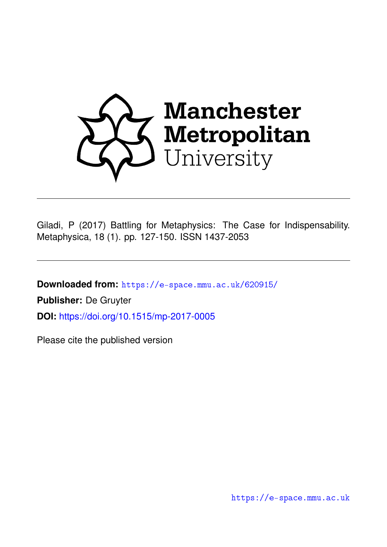

Giladi, P (2017) Battling for Metaphysics: The Case for Indispensability. Metaphysica, 18 (1). pp. 127-150. ISSN 1437-2053

**Downloaded from:** <https://e-space.mmu.ac.uk/620915/>

**Publisher:** De Gruyter

**DOI:** <https://doi.org/10.1515/mp-2017-0005>

Please cite the published version

<https://e-space.mmu.ac.uk>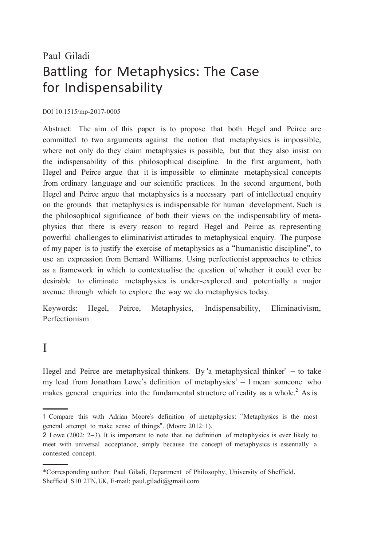# Paul Giladi Battling for Metaphysics: The Case for Indispensability

#### DOI 10.1515/mp-2017-0005

Abstract: The aim of this paper is to propose that both Hegel and Peirce are committed to two arguments against the notion that metaphysics is impossible, where not only do they claim metaphysics is possible, but that they also insist on the indispensability of this philosophical discipline. In the first argument, both Hegel and Peirce argue that it is impossible to eliminate metaphysical concepts from ordinary language and our scientific practices. In the second argument, both Hegel and Peirce argue that metaphysics is a necessary part of intellectual enquiry on the grounds that metaphysics is indispensable for human development. Such is the philosophical significance of both their views on the indispensability of metaphysics that there is every reason to regard Hegel and Peirce as representing powerful challenges to eliminativist attitudes to metaphysical enquiry. The purpose of my paper is to justify the exercise of metaphysics as a "humanistic discipline", to use an expression from Bernard Williams. Using perfectionist approaches to ethics as a framework in which to contextualise the question of whether it could ever be desirable to eliminate metaphysics is under-explored and potentially a major avenue through which to explore the way we do metaphysics today.

Keywords: Hegel, Peirce, Metaphysics, Indispensability, Eliminativism, Perfectionism

### I

Hegel and Peirce are metaphysical thinkers. By 'a metaphysical thinker'  $-$  to take my lead from Jonathan Lowe's definition of metaphysics<sup>1</sup> - I mean someone who makes general enquiries into the fundamental structure of reality as a whole.<sup>2</sup> As is

<sup>1</sup>Compare this with Adrian Moore's definition of metaphysics: "Metaphysics is the most general attempt to make sense of things". (Moore 2012: 1).

<sup>2</sup> Lowe (2002: 2–3). It is important to note that no definition of metaphysics is ever likely to meet with universal acceptance, simply because the concept of metaphysics is essentially a contested concept.

<sup>\*</sup>Corresponding author: Paul Giladi, Department of Philosophy, University of Sheffield, Sheffield S10 2TN, UK, E-mail: [paul.giladi@gmail.com](mailto:paul.giladi@gmail.com)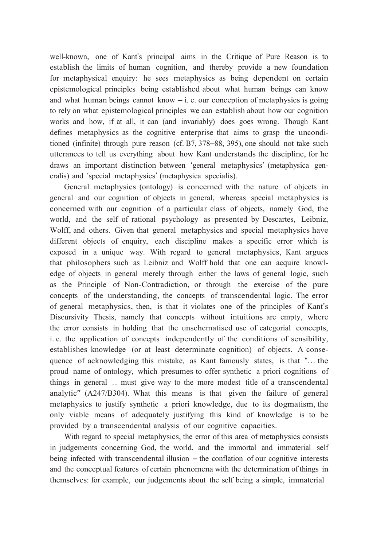well-known, one of Kant's principal aims in the Critique of Pure Reason is to establish the limits of human cognition, and thereby provide a new foundation for metaphysical enquiry: he sees metaphysics as being dependent on certain epistemological principles being established about what human beings can know and what human beings cannot know  $-i$ , e. our conception of metaphysics is going to rely on what epistemological principles we can establish about how our cognition works and how, if at all, it can (and invariably) does goes wrong. Though Kant defines metaphysics as the cognitive enterprise that aims to grasp the unconditioned (infinite) through pure reason (cf. B7, 378–88, 395), one should not take such utterances to tell us everything about how Kant understands the discipline, for he draws an important distinction between 'general metaphysics' (metaphysica generalis) and 'special metaphysics' (metaphysica specialis).

General metaphysics (ontology) is concerned with the nature of objects in general and our cognition of objects in general, whereas special metaphysics is concerned with our cognition of a particular class of objects, namely God, the world, and the self of rational psychology as presented by Descartes, Leibniz, Wolff, and others. Given that general metaphysics and special metaphysics have different objects of enquiry, each discipline makes a specific error which is exposed in a unique way. With regard to general metaphysics, Kant argues that philosophers such as Leibniz and Wolff hold that one can acquire knowledge of objects in general merely through either the laws of general logic, such as the Principle of Non-Contradiction, or through the exercise of the pure concepts of the understanding, the concepts of transcendental logic. The error of general metaphysics, then, is that it violates one of the principles of Kant's Discursivity Thesis, namely that concepts without intuitions are empty, where the error consists in holding that the unschematised use of categorial concepts, i. e. the application of concepts independently of the conditions of sensibility, establishes knowledge (or at least determinate cognition) of objects. A consequence of acknowledging this mistake, as Kant famously states, is that "… the proud name of ontology, which presumes to offer synthetic a priori cognitions of things in general … must give way to the more modest title of a transcendental analytic" (A247/B304). What this means is that given the failure of general metaphysics to justify synthetic a priori knowledge, due to its dogmatism, the only viable means of adequately justifying this kind of knowledge is to be provided by a transcendental analysis of our cognitive capacities.

With regard to special metaphysics, the error of this area of metaphysics consists in judgements concerning God, the world, and the immortal and immaterial self being infected with transcendental illusion – the conflation of our cognitive interests and the conceptual features of certain phenomena with the determination of things in themselves: for example, our judgements about the self being a simple, immaterial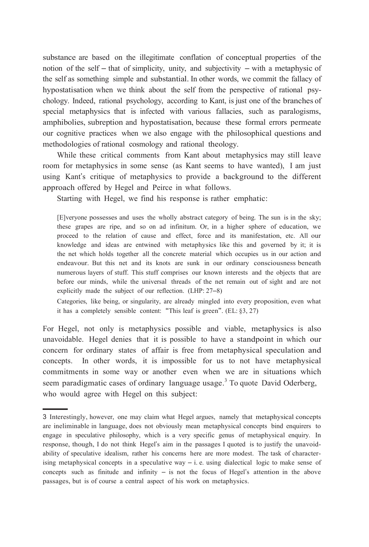substance are based on the illegitimate conflation of conceptual properties of the notion of the self – that of simplicity, unity, and subjectivity – with a metaphysic of the self as something simple and substantial. In other words, we commit the fallacy of hypostatisation when we think about the self from the perspective of rational psychology. Indeed, rational psychology, according to Kant, is just one of the branches of special metaphysics that is infected with various fallacies, such as paralogisms, amphibolies, subreption and hypostatisation, because these formal errors permeate our cognitive practices when we also engage with the philosophical questions and methodologies of rational cosmology and rational theology.

While these critical comments from Kant about metaphysics may still leave room for metaphysics in some sense (as Kant seems to have wanted), I am just using Kant's critique of metaphysics to provide a background to the different approach offered by Hegel and Peirce in what follows.

Starting with Hegel, we find his response is rather emphatic:

[E]veryone possesses and uses the wholly abstract category of being. The sun is in the sky; these grapes are ripe, and so on ad infinitum. Or, in a higher sphere of education, we proceed to the relation of cause and effect, force and its manifestation, etc. All our knowledge and ideas are entwined with metaphysics like this and governed by it; it is the net which holds together all the concrete material which occupies us in our action and endeavour. But this net and its knots are sunk in our ordinary consciousness beneath numerous layers of stuff. This stuff comprises our known interests and the objects that are before our minds, while the universal threads of the net remain out of sight and are not explicitly made the subject of our reflection. (LHP: 27–8)

Categories, like being, or singularity, are already mingled into every proposition, even what it has a completely sensible content: "This leaf is green". (EL: §3, 27)

For Hegel, not only is metaphysics possible and viable, metaphysics is also unavoidable. Hegel denies that it is possible to have a standpoint in which our concern for ordinary states of affair is free from metaphysical speculation and concepts. In other words, it is impossible for us to not have metaphysical commitments in some way or another even when we are in situations which seem paradigmatic cases of ordinary language usage.<sup>3</sup> To quote David Oderberg, who would agree with Hegel on this subject:

<sup>3</sup> Interestingly, however, one may claim what Hegel argues, namely that metaphysical concepts are ineliminable in language, does not obviously mean metaphysical concepts bind enquirers to engage in speculative philosophy, which is a very specific genus of metaphysical enquiry. In response, though, I do not think Hegel's aim in the passages I quoted is to justify the unavoidability of speculative idealism, rather his concerns here are more modest. The task of characterising metaphysical concepts in a speculative way  $-$  i. e. using dialectical logic to make sense of concepts such as finitude and infinity – is not the focus of Hegel's attention in the above passages, but is of course a central aspect of his work on metaphysics.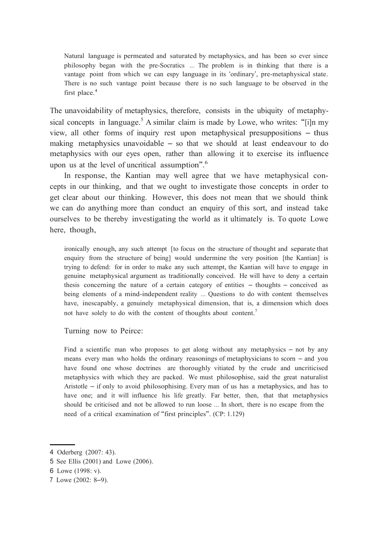Natural language is permeated and saturated by metaphysics, and has been so ever since philosophy began with the pre-Socratics … The problem is in thinking that there is a vantage point from which we can espy language in its 'ordinary', pre-metaphysical state. There is no such vantage point because there is no such language to be observed in the first place.<sup>4</sup>

The unavoidability of metaphysics, therefore, consists in the ubiquity of metaphysical concepts in language.<sup>5</sup> A similar claim is made by Lowe, who writes: "[i]n my view, all other forms of inquiry rest upon metaphysical presuppositions – thus making metaphysics unavoidable – so that we should at least endeavour to do metaphysics with our eyes open, rather than allowing it to exercise its influence upon us at the level of uncritical assumption".<sup>6</sup>

In response, the Kantian may well agree that we have metaphysical concepts in our thinking, and that we ought to investigate those concepts in order to get clear about our thinking. However, this does not mean that we should think we can do anything more than conduct an enquiry of this sort, and instead take ourselves to be thereby investigating the world as it ultimately is. To quote Lowe here, though,

ironically enough, any such attempt [to focus on the structure of thought and separate that enquiry from the structure of being] would undermine the very position [the Kantian] is trying to defend: for in order to make any such attempt, the Kantian will have to engage in genuine metaphysical argument as traditionally conceived. He will have to deny a certain thesis concerning the nature of a certain category of entities – thoughts – conceived as being elements of a mind-independent reality … Questions to do with content themselves have, inescapably, a genuinely metaphysical dimension, that is, a dimension which does not have solely to do with the content of thoughts about content.<sup>7</sup>

Turning now to Peirce:

Find a scientific man who proposes to get along without any metaphysics – not by any means every man who holds the ordinary reasonings of metaphysicians to scorn – and you have found one whose doctrines are thoroughly vitiated by the crude and uncriticised metaphysics with which they are packed. We must philosophise, said the great naturalist Aristotle – if only to avoid philosophising. Every man of us has a metaphysics, and has to have one; and it will influence his life greatly. Far better, then, that that metaphysics should be criticised and not be allowed to run loose … In short, there is no escape from the need of a critical examination of "first principles". (CP: 1.129)

<sup>4</sup> Oderberg (2007: 43).

<sup>5</sup> See Ellis (2001) and Lowe (2006).

<sup>6</sup> Lowe (1998: v).

<sup>7</sup> Lowe (2002: 8–9).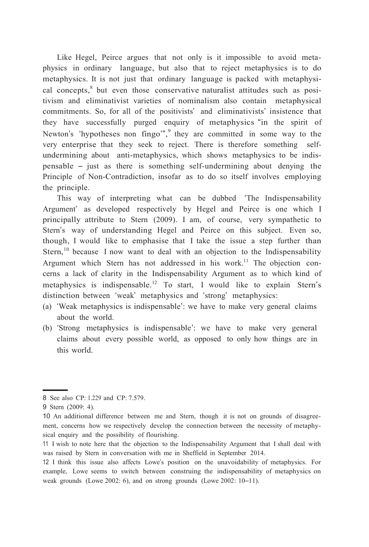Like Hegel, Peirce argues that not only is it impossible to avoid metaphysics in ordinary language, but also that to reject metaphysics is to do metaphysics. It is not just that ordinary language is packed with metaphysical concepts,<sup>8</sup> but even those conservative naturalist attitudes such as positivism and eliminativist varieties of nominalism also contain metaphysical commitments. So, for all of the positivists' and eliminativists' insistence that they have successfully purged enquiry of metaphysics "in the spirit of Newton's 'hypotheses non fingo'",<sup>9</sup> they are committed in some way to the very enterprise that they seek to reject. There is therefore something selfundermining about anti-metaphysics, which shows metaphysics to be indispensable – just as there is something self-undermining about denying the Principle of Non-Contradiction, insofar as to do so itself involves employing the principle.

This way of interpreting what can be dubbed 'The Indispensability Argument' as developed respectively by Hegel and Peirce is one which I principally attribute to Stern (2009). I am, of course, very sympathetic to Stern's way of understanding Hegel and Peirce on this subject. Even so, though, I would like to emphasise that I take the issue a step further than Stern,<sup>10</sup> because I now want to deal with an objection to the Indispensability Argument which Stern has not addressed in his work.<sup>11</sup> The objection concerns a lack of clarity in the Indispensability Argument as to which kind of metaphysics is indispensable.<sup>12</sup> To start, I would like to explain Stern's distinction between 'weak' metaphysics and 'strong' metaphysics:

- (a) 'Weak metaphysics is indispensable': we have to make very general claims about the world.
- (b) 'Strong metaphysics is indispensable': we have to make very general claims about every possible world, as opposed to only how things are in this world.

<sup>8</sup> See also CP: 1.229 and CP: 7.579.

<sup>9</sup> Stern (2009: 4).

<sup>10</sup> An additional difference between me and Stern, though it is not on grounds of disagreement, concerns how we respectively develop the connection between the necessity of metaphysical enquiry and the possibility of flourishing.

<sup>11</sup> I wish to note here that the objection to the Indispensability Argument that I shall deal with was raised by Stern in conversation with me in Sheffield in September 2014.

<sup>12</sup> I think this issue also affects Lowe's position on the unavoidability of metaphysics. For example, Lowe seems to switch between construing the indispensability of metaphysics on weak grounds (Lowe 2002: 6), and on strong grounds (Lowe 2002: 10–11).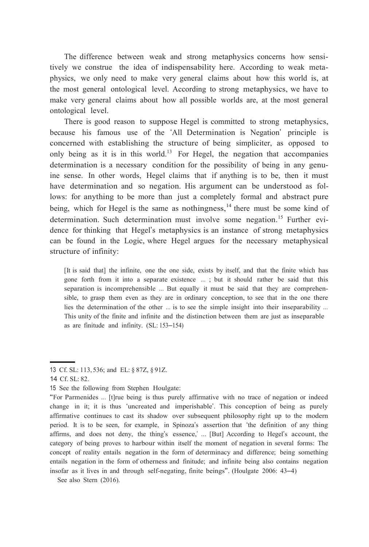The difference between weak and strong metaphysics concerns how sensitively we construe the idea of indispensability here. According to weak metaphysics, we only need to make very general claims about how this world is, at the most general ontological level. According to strong metaphysics, we have to make very general claims about how all possible worlds are, at the most general ontological level.

There is good reason to suppose Hegel is committed to strong metaphysics, because his famous use of the 'All Determination is Negation' principle is concerned with establishing the structure of being simpliciter, as opposed to only being as it is in this world.<sup>13</sup> For Hegel, the negation that accompanies determination is a necessary condition for the possibility of being in any genuine sense. In other words, Hegel claims that if anything is to be, then it must have determination and so negation. His argument can be understood as follows: for anything to be more than just a completely formal and abstract pure being, which for Hegel is the same as nothingness,<sup>14</sup> there must be some kind of determination. Such determination must involve some negation.<sup>15</sup> Further evidence for thinking that Hegel's metaphysics is an instance of strong metaphysics can be found in the Logic, where Hegel argues for the necessary metaphysical structure of infinity:

[It is said that] the infinite, one the one side, exists by itself, and that the finite which has gone forth from it into a separate existence … ; but it should rather be said that this separation is incomprehensible … But equally it must be said that they are comprehensible, to grasp them even as they are in ordinary conception, to see that in the one there lies the determination of the other … is to see the simple insight into their inseparability … This unity of the finite and infinite and the distinction between them are just as inseparable as are finitude and infinity. (SL: 153–154)

See also Stern (2016).

<sup>13</sup> Cf. SL: 113, 536; and EL: § 87Z, § 91Z.

<sup>14</sup> Cf. SL: 82.

<sup>15</sup> See the following from Stephen Houlgate:

<sup>&</sup>quot;For Parmenides … [t]rue being is thus purely affirmative with no trace of negation or indeed change in it; it is thus 'uncreated and imperishable'. This conception of being as purely affirmative continues to cast its shadow over subsequent philosophy right up to the modern period. It is to be seen, for example, in Spinoza's assertion that 'the definition of any thing affirms, and does not deny, the thing's essence,' … [But] According to Hegel's account, the category of being proves to harbour within itself the moment of negation in several forms: The concept of reality entails negation in the form of determinacy and difference; being something entails negation in the form of otherness and finitude; and infinite being also contains negation insofar as it lives in and through self-negating, finite beings". (Houlgate 2006: 43–4)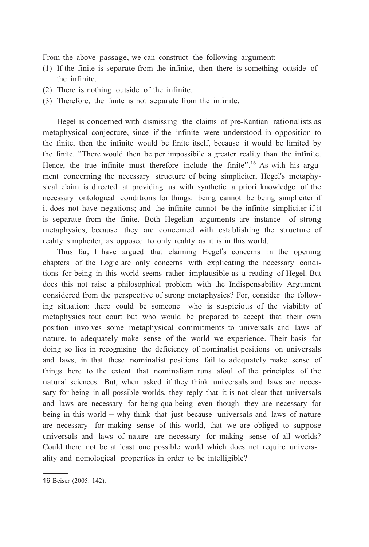From the above passage, we can construct the following argument:

- (1) If the finite is separate from the infinite, then there is something outside of the infinite.
- (2) There is nothing outside of the infinite.
- (3) Therefore, the finite is not separate from the infinite.

Hegel is concerned with dismissing the claims of pre-Kantian rationalists as metaphysical conjecture, since if the infinite were understood in opposition to the finite, then the infinite would be finite itself, because it would be limited by the finite. "There would then be per impossibile a greater reality than the infinite. Hence, the true infinite must therefore include the finite".<sup>16</sup> As with his argument concerning the necessary structure of being simpliciter, Hegel's metaphysical claim is directed at providing us with synthetic a priori knowledge of the necessary ontological conditions for things: being cannot be being simpliciter if it does not have negations; and the infinite cannot be the infinite simpliciter if it is separate from the finite. Both Hegelian arguments are instance of strong metaphysics, because they are concerned with establishing the structure of reality simpliciter, as opposed to only reality as it is in this world.

Thus far, I have argued that claiming Hegel's concerns in the opening chapters of the Logic are only concerns with explicating the necessary conditions for being in this world seems rather implausible as a reading of Hegel. But does this not raise a philosophical problem with the Indispensability Argument considered from the perspective of strong metaphysics? For, consider the following situation: there could be someone who is suspicious of the viability of metaphysics tout court but who would be prepared to accept that their own position involves some metaphysical commitments to universals and laws of nature, to adequately make sense of the world we experience. Their basis for doing so lies in recognising the deficiency of nominalist positions on universals and laws, in that these nominalist positions fail to adequately make sense of things here to the extent that nominalism runs afoul of the principles of the natural sciences. But, when asked if they think universals and laws are necessary for being in all possible worlds, they reply that it is not clear that universals and laws are necessary for being-qua-being even though they are necessary for being in this world – why think that just because universals and laws of nature are necessary for making sense of this world, that we are obliged to suppose universals and laws of nature are necessary for making sense of all worlds? Could there not be at least one possible world which does not require universality and nomological properties in order to be intelligible?

<sup>16</sup> Beiser (2005: 142).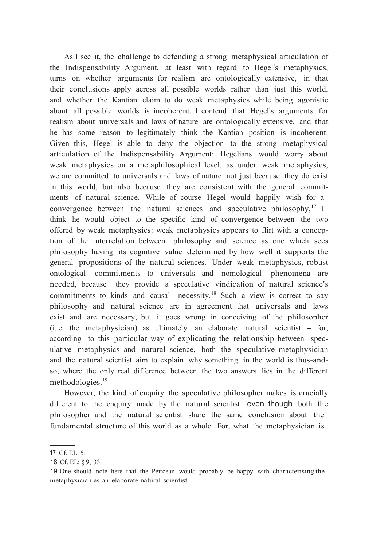As I see it, the challenge to defending a strong metaphysical articulation of the Indispensability Argument, at least with regard to Hegel's metaphysics, turns on whether arguments for realism are ontologically extensive, in that their conclusions apply across all possible worlds rather than just this world, and whether the Kantian claim to do weak metaphysics while being agonistic about all possible worlds is incoherent. I contend that Hegel's arguments for realism about universals and laws of nature are ontologically extensive, and that he has some reason to legitimately think the Kantian position is incoherent. Given this, Hegel is able to deny the objection to the strong metaphysical articulation of the Indispensability Argument: Hegelians would worry about weak metaphysics on a metaphilosophical level, as under weak metaphysics, we are committed to universals and laws of nature not just because they do exist in this world, but also because they are consistent with the general commitments of natural science. While of course Hegel would happily wish for a convergence between the natural sciences and speculative philosophy, $17$  I think he would object to the specific kind of convergence between the two offered by weak metaphysics: weak metaphysics appears to flirt with a conception of the interrelation between philosophy and science as one which sees philosophy having its cognitive value determined by how well it supports the general propositions of the natural sciences. Under weak metaphysics, robust ontological commitments to universals and nomological phenomena are needed, because they provide a speculative vindication of natural science's commitments to kinds and causal necessity.<sup>18</sup> Such a view is correct to say philosophy and natural science are in agreement that universals and laws exist and are necessary, but it goes wrong in conceiving of the philosopher  $(i. e. the metaphysician)$  as ultimately an elaborate natural scientist – for, according to this particular way of explicating the relationship between speculative metaphysics and natural science, both the speculative metaphysician and the natural scientist aim to explain why something in the world is thus-andso, where the only real difference between the two answers lies in the different methodologies. 19

However, the kind of enquiry the speculative philosopher makes is crucially different to the enquiry made by the natural scientist even though both the philosopher and the natural scientist share the same conclusion about the fundamental structure of this world as a whole. For, what the metaphysician is

<sup>17</sup> Cf. EL: 5.

<sup>18</sup> Cf. EL: § 9, 33.

<sup>19</sup> One should note here that the Peircean would probably be happy with characterising the metaphysician as an elaborate natural scientist.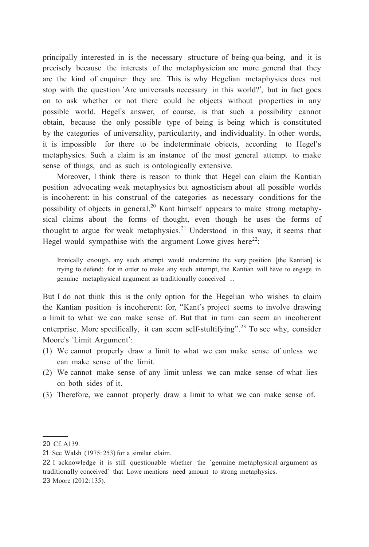principally interested in is the necessary structure of being-qua-being, and it is precisely because the interests of the metaphysician are more general that they are the kind of enquirer they are. This is why Hegelian metaphysics does not stop with the question 'Are universals necessary in this world?', but in fact goes on to ask whether or not there could be objects without properties in any possible world. Hegel's answer, of course, is that such a possibility cannot obtain, because the only possible type of being is being which is constituted by the categories of universality, particularity, and individuality. In other words, it is impossible for there to be indeterminate objects, according to Hegel's metaphysics. Such a claim is an instance of the most general attempt to make sense of things, and as such is ontologically extensive.

Moreover, I think there is reason to think that Hegel can claim the Kantian position advocating weak metaphysics but agnosticism about all possible worlds is incoherent: in his construal of the categories as necessary conditions for the possibility of objects in general, <sup>20</sup> Kant himself appears to make strong metaphysical claims about the forms of thought, even though he uses the forms of thought to argue for weak metaphysics. $21$  Understood in this way, it seems that Hegel would sympathise with the argument Lowe gives here $22$ :

Ironically enough, any such attempt would undermine the very position [the Kantian] is trying to defend: for in order to make any such attempt, the Kantian will have to engage in genuine metaphysical argument as traditionally conceived …

But I do not think this is the only option for the Hegelian who wishes to claim the Kantian position is incoherent: for, "Kant's project seems to involve drawing a limit to what we can make sense of. But that in turn can seem an incoherent enterprise. More specifically, it can seem self-stultifying".<sup>23</sup> To see why, consider Moore's 'Limit Argument':

- (1) We cannot properly draw a limit to what we can make sense of unless we can make sense of the limit.
- (2) We cannot make sense of any limit unless we can make sense of what lies on both sides of it.
- (3) Therefore, we cannot properly draw a limit to what we can make sense of.

<sup>20</sup> Cf. A139.

<sup>21</sup> See Walsh (1975: 253) for a similar claim.

<sup>22</sup> I acknowledge it is still questionable whether the 'genuine metaphysical argument as traditionally conceived' that Lowe mentions need amount to strong metaphysics. 23 Moore (2012: 135).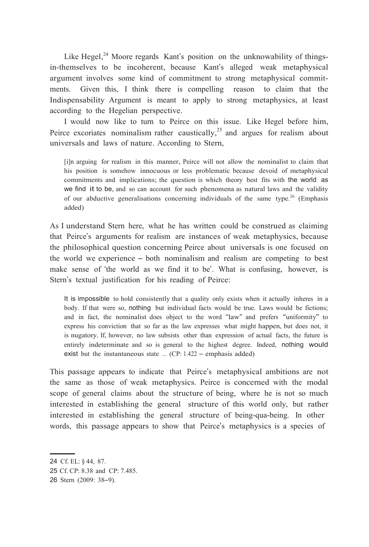Like Hegel,<sup>24</sup> Moore regards Kant's position on the unknowability of thingsin-themselves to be incoherent, because Kant's alleged weak metaphysical argument involves some kind of commitment to strong metaphysical commitments. Given this, I think there is compelling reason to claim that the Indispensability Argument is meant to apply to strong metaphysics, at least according to the Hegelian perspective.

I would now like to turn to Peirce on this issue. Like Hegel before him, Peirce excoriates nominalism rather caustically,<sup>25</sup> and argues for realism about universals and laws of nature. According to Stern,

[i]n arguing for realism in this manner, Peirce will not allow the nominalist to claim that his position is somehow innocuous or less problematic because devoid of metaphysical commitments and implications; the question is which theory best fits with the world as we find it to be, and so can account for such phenomena as natural laws and the validity of our abductive generalisations concerning individuals of the same type.<sup>26</sup> (Emphasis added)

As I understand Stern here, what he has written could be construed as claiming that Peirce's arguments for realism are instances of weak metaphysics, because the philosophical question concerning Peirce about universals is one focused on the world we experience – both nominalism and realism are competing to best make sense of 'the world as we find it to be'. What is confusing, however, is Stern's textual justification for his reading of Peirce:

It is impossible to hold consistently that a quality only exists when it actually inheres in a body. If that were so, nothing but individual facts would be true. Laws would be fictions; and in fact, the nominalist does object to the word "law" and prefers "uniformity" to express his conviction that so far as the law expresses what might happen, but does not, it is nugatory. If, however, no law subsists other than expression of actual facts, the future is entirely indeterminate and so is general to the highest degree. Indeed, nothing would exist but the instantaneous state … (CP: 1.422 – emphasis added)

This passage appears to indicate that Peirce's metaphysical ambitions are not the same as those of weak metaphysics. Peirce is concerned with the modal scope of general claims about the structure of being, where he is not so much interested in establishing the general structure of this world only, but rather interested in establishing the general structure of being-qua-being. In other words, this passage appears to show that Peirce's metaphysics is a species of

<sup>24</sup> Cf. EL: § 44, 87.

<sup>25</sup> Cf. CP: 8.38 and CP: 7.485.

<sup>26</sup> Stern (2009: 38–9).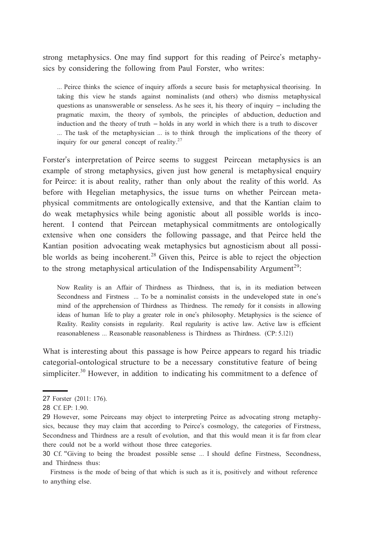strong metaphysics. One may find support for this reading of Peirce's metaphysics by considering the following from Paul Forster, who writes:

… Peirce thinks the science of inquiry affords a secure basis for metaphysical theorising. In taking this view he stands against nominalists (and others) who dismiss metaphysical questions as unanswerable or senseless. As he sees it, his theory of inquiry – including the pragmatic maxim, the theory of symbols, the principles of abduction, deduction and induction and the theory of truth – holds in any world in which there is a truth to discover … The task of the metaphysician … is to think through the implications of the theory of inquiry for our general concept of reality.<sup>27</sup>

Forster's interpretation of Peirce seems to suggest Peircean metaphysics is an example of strong metaphysics, given just how general is metaphysical enquiry for Peirce: it is about reality, rather than only about the reality of this world. As before with Hegelian metaphysics, the issue turns on whether Peircean metaphysical commitments are ontologically extensive, and that the Kantian claim to do weak metaphysics while being agonistic about all possible worlds is incoherent. I contend that Peircean metaphysical commitments are ontologically extensive when one considers the following passage, and that Peirce held the Kantian position advocating weak metaphysics but agnosticism about all possible worlds as being incoherent.<sup>28</sup> Given this, Peirce is able to reject the objection to the strong metaphysical articulation of the Indispensability Argument<sup>29</sup>:

Now Reality is an Affair of Thirdness as Thirdness, that is, in its mediation between Secondness and Firstness … To be a nominalist consists in the undeveloped state in one's mind of the apprehension of Thirdness as Thirdness. The remedy for it consists in allowing ideas of human life to play a greater role in one's philosophy. Metaphysics is the science of Reality. Reality consists in regularity. Real regularity is active law. Active law is efficient reasonableness … Reasonable reasonableness is Thirdness as Thirdness. (CP: 5.121)

What is interesting about this passage is how Peirce appears to regard his triadic categorial-ontological structure to be a necessary constitutive feature of being simpliciter.<sup>30</sup> However, in addition to indicating his commitment to a defence of

30 Cf. "Giving to being the broadest possible sense … I should define Firstness, Secondness, and Thirdness thus:

Firstness is the mode of being of that which is such as it is, positively and without reference to anything else.

<sup>27</sup> Forster (2011: 176).

<sup>28</sup> Cf. EP: 1.90.

<sup>29</sup> However, some Peirceans may object to interpreting Peirce as advocating strong metaphysics, because they may claim that according to Peirce's cosmology, the categories of Firstness, Secondness and Thirdness are a result of evolution, and that this would mean it is far from clear there could not be a world without those three categories.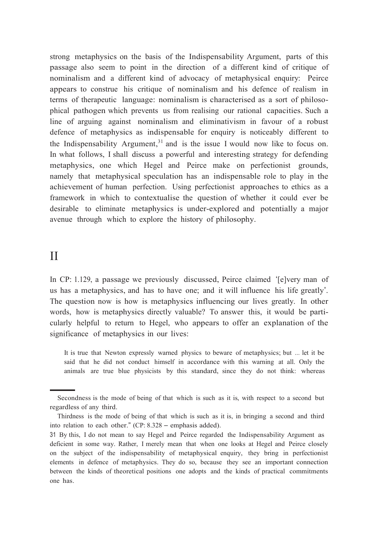strong metaphysics on the basis of the Indispensability Argument, parts of this passage also seem to point in the direction of a different kind of critique of nominalism and a different kind of advocacy of metaphysical enquiry: Peirce appears to construe his critique of nominalism and his defence of realism in terms of therapeutic language: nominalism is characterised as a sort of philosophical pathogen which prevents us from realising our rational capacities. Such a line of arguing against nominalism and eliminativism in favour of a robust defence of metaphysics as indispensable for enquiry is noticeably different to the Indispensability Argument, <sup>31</sup> and is the issue I would now like to focus on. In what follows, I shall discuss a powerful and interesting strategy for defending metaphysics, one which Hegel and Peirce make on perfectionist grounds, namely that metaphysical speculation has an indispensable role to play in the achievement of human perfection. Using perfectionist approaches to ethics as a framework in which to contextualise the question of whether it could ever be desirable to eliminate metaphysics is under-explored and potentially a major avenue through which to explore the history of philosophy.

#### II

In CP: 1.129, a passage we previously discussed, Peirce claimed '[e]very man of us has a metaphysics, and has to have one; and it will influence his life greatly'. The question now is how is metaphysics influencing our lives greatly. In other words, how is metaphysics directly valuable? To answer this, it would be particularly helpful to return to Hegel, who appears to offer an explanation of the significance of metaphysics in our lives:

It is true that Newton expressly warned physics to beware of metaphysics; but … let it be said that he did not conduct himself in accordance with this warning at all. Only the animals are true blue physicists by this standard, since they do not think: whereas

Secondness is the mode of being of that which is such as it is, with respect to a second but regardless of any third.

Thirdness is the mode of being of that which is such as it is, in bringing a second and third into relation to each other." (CP: 8.328 – emphasis added).

<sup>31</sup> By this, I do not mean to say Hegel and Peirce regarded the Indispensability Argument as deficient in some way. Rather, I merely mean that when one looks at Hegel and Peirce closely on the subject of the indispensability of metaphysical enquiry, they bring in perfectionist elements in defence of metaphysics. They do so, because they see an important connection between the kinds of theoretical positions one adopts and the kinds of practical commitments one has.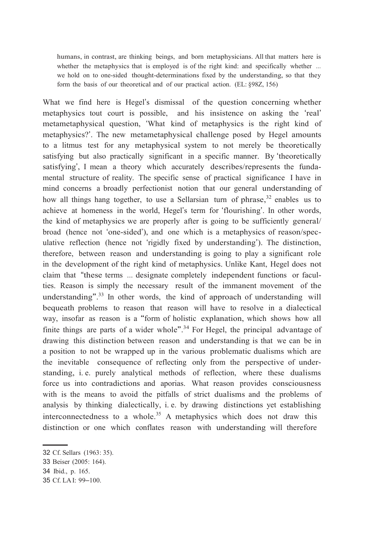humans, in contrast, are thinking beings, and born metaphysicians. All that matters here is whether the metaphysics that is employed is of the right kind: and specifically whether ... we hold on to one-sided thought-determinations fixed by the understanding, so that they form the basis of our theoretical and of our practical action. (EL: §98Z, 156)

What we find here is Hegel's dismissal of the question concerning whether metaphysics tout court is possible, and his insistence on asking the 'real' metametaphysical question, 'What kind of metaphysics is the right kind of metaphysics?'. The new metametaphysical challenge posed by Hegel amounts to a litmus test for any metaphysical system to not merely be theoretically satisfying but also practically significant in a specific manner. By 'theoretically satisfying', I mean a theory which accurately describes/represents the fundamental structure of reality. The specific sense of practical significance I have in mind concerns a broadly perfectionist notion that our general understanding of how all things hang together, to use a Sellarsian turn of phrase,<sup>32</sup> enables us to achieve at homeness in the world, Hegel's term for 'flourishing'. In other words, the kind of metaphysics we are properly after is going to be sufficiently general/ broad (hence not 'one-sided'), and one which is a metaphysics of reason/speculative reflection (hence not 'rigidly fixed by understanding'). The distinction, therefore, between reason and understanding is going to play a significant role in the development of the right kind of metaphysics. Unlike Kant, Hegel does not claim that "these terms … designate completely independent functions or faculties. Reason is simply the necessary result of the immanent movement of the understanding". <sup>33</sup> In other words, the kind of approach of understanding will bequeath problems to reason that reason will have to resolve in a dialectical way, insofar as reason is a "form of holistic explanation, which shows how all finite things are parts of a wider whole".<sup>34</sup> For Hegel, the principal advantage of drawing this distinction between reason and understanding is that we can be in a position to not be wrapped up in the various problematic dualisms which are the inevitable consequence of reflecting only from the perspective of understanding, i. e. purely analytical methods of reflection, where these dualisms force us into contradictions and aporias. What reason provides consciousness with is the means to avoid the pitfalls of strict dualisms and the problems of analysis by thinking dialectically, i. e. by drawing distinctions yet establishing interconnectedness to a whole.<sup>35</sup> A metaphysics which does not draw this distinction or one which conflates reason with understanding will therefore

<sup>32</sup> Cf. Sellars (1963: 35).

<sup>33</sup> Beiser (2005: 164).

<sup>34</sup> Ibid., p. 165.

<sup>35</sup> Cf. LAI: 99–100.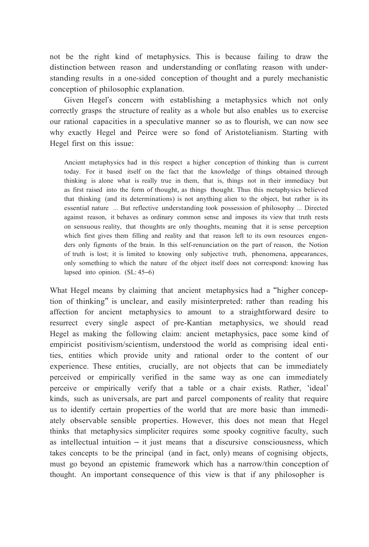not be the right kind of metaphysics. This is because failing to draw the distinction between reason and understanding or conflating reason with understanding results in a one-sided conception of thought and a purely mechanistic conception of philosophic explanation.

Given Hegel's concern with establishing a metaphysics which not only correctly grasps the structure of reality as a whole but also enables us to exercise our rational capacities in a speculative manner so as to flourish, we can now see why exactly Hegel and Peirce were so fond of Aristotelianism. Starting with Hegel first on this issue:

Ancient metaphysics had in this respect a higher conception of thinking than is current today. For it based itself on the fact that the knowledge of things obtained through thinking is alone what is really true in them, that is, things not in their immediacy but as first raised into the form of thought, as things thought. Thus this metaphysics believed that thinking (and its determinations) is not anything alien to the object, but rather is its essential nature … But reflective understanding took possession of philosophy … Directed against reason, it behaves as ordinary common sense and imposes its view that truth rests on sensuous reality, that thoughts are only thoughts, meaning that it is sense perception which first gives them filling and reality and that reason left to its own resources engenders only figments of the brain. In this self-renunciation on the part of reason, the Notion of truth is lost; it is limited to knowing only subjective truth, phenomena, appearances, only something to which the nature of the object itself does not correspond: knowing has lapsed into opinion. (SL: 45–6)

What Hegel means by claiming that ancient metaphysics had a "higher conception of thinking" is unclear, and easily misinterpreted: rather than reading his affection for ancient metaphysics to amount to a straightforward desire to resurrect every single aspect of pre-Kantian metaphysics, we should read Hegel as making the following claim: ancient metaphysics, pace some kind of empiricist positivism/scientism, understood the world as comprising ideal entities, entities which provide unity and rational order to the content of our experience. These entities, crucially, are not objects that can be immediately perceived or empirically verified in the same way as one can immediately perceive or empirically verify that a table or a chair exists. Rather, 'ideal' kinds, such as universals, are part and parcel components of reality that require us to identify certain properties of the world that are more basic than immediately observable sensible properties. However, this does not mean that Hegel thinks that metaphysics simpliciter requires some spooky cognitive faculty, such as intellectual intuition  $-$  it just means that a discursive consciousness, which takes concepts to be the principal (and in fact, only) means of cognising objects, must go beyond an epistemic framework which has a narrow/thin conception of thought. An important consequence of this view is that if any philosopher is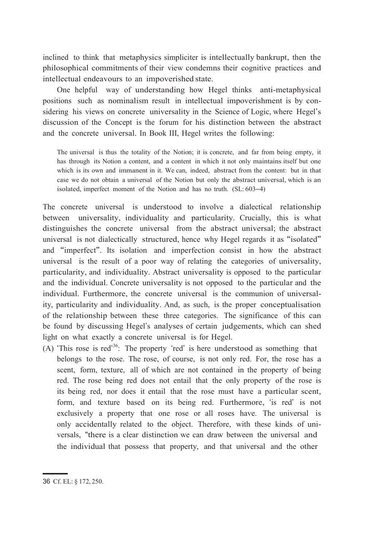inclined to think that metaphysics simpliciter is intellectually bankrupt, then the philosophical commitments of their view condemns their cognitive practices and intellectual endeavours to an impoverished state.

One helpful way of understanding how Hegel thinks anti-metaphysical positions such as nominalism result in intellectual impoverishment is by considering his views on concrete universality in the Science of Logic, where Hegel's discussion of the Concept is the forum for his distinction between the abstract and the concrete universal. In Book III, Hegel writes the following:

The universal is thus the totality of the Notion; it is concrete, and far from being empty, it has through its Notion a content, and a content in which it not only maintains itself but one which is its own and immanent in it. We can, indeed, abstract from the content: but in that case we do not obtain a universal of the Notion but only the abstract universal, which is an isolated, imperfect moment of the Notion and has no truth. (SL: 603–4)

The concrete universal is understood to involve a dialectical relationship between universality, individuality and particularity. Crucially, this is what distinguishes the concrete universal from the abstract universal; the abstract universal is not dialectically structured, hence why Hegel regards it as "isolated" and "imperfect". Its isolation and imperfection consist in how the abstract universal is the result of a poor way of relating the categories of universality, particularity, and individuality. Abstract universality is opposed to the particular and the individual. Concrete universality is not opposed to the particular and the individual. Furthermore, the concrete universal is the communion of universality, particularity and individuality. And, as such, is the proper conceptualisation of the relationship between these three categories. The significance of this can be found by discussing Hegel's analyses of certain judgements, which can shed light on what exactly a concrete universal is for Hegel.

(A) 'This rose is red' <sup>36</sup>: The property 'red' is here understood as something that belongs to the rose. The rose, of course, is not only red. For, the rose has a scent, form, texture, all of which are not contained in the property of being red. The rose being red does not entail that the only property of the rose is its being red, nor does it entail that the rose must have a particular scent, form, and texture based on its being red. Furthermore, 'is red' is not exclusively a property that one rose or all roses have. The universal is only accidentally related to the object. Therefore, with these kinds of universals, "there is a clear distinction we can draw between the universal and the individual that possess that property, and that universal and the other

<sup>36</sup> Cf. EL: § 172, 250.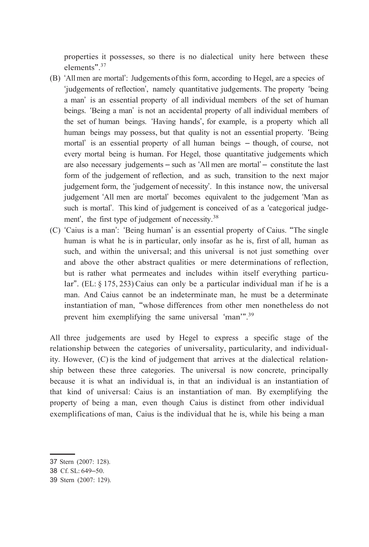properties it possesses, so there is no dialectical unity here between these elements". 37

- (B) 'Allmen are mortal': Judgements ofthis form, according to Hegel, are a species of 'judgements of reflection', namely quantitative judgements. The property 'being a man' is an essential property of all individual members of the set of human beings. 'Being a man' is not an accidental property of all individual members of the set of human beings. 'Having hands', for example, is a property which all human beings may possess, but that quality is not an essential property. 'Being mortal' is an essential property of all human beings – though, of course, not every mortal being is human. For Hegel, those quantitative judgements which are also necessary judgements – such as 'All men are mortal' – constitute the last form of the judgement of reflection, and as such, transition to the next major judgement form, the 'judgement of necessity'. In this instance now, the universal judgement 'All men are mortal' becomes equivalent to the judgement 'Man as such is mortal'. This kind of judgement is conceived of as a 'categorical judgement', the first type of judgement of necessity.<sup>38</sup>
- (C) 'Caius is a man': 'Being human' is an essential property of Caius. "The single human is what he is in particular, only insofar as he is, first of all, human as such, and within the universal; and this universal is not just something over and above the other abstract qualities or mere determinations of reflection, but is rather what permeates and includes within itself everything particular". (EL: § 175, 253) Caius can only be a particular individual man if he is a man. And Caius cannot be an indeterminate man, he must be a determinate instantiation of man, "whose differences from other men nonetheless do not prevent him exemplifying the same universal 'man'".<sup>39</sup>

All three judgements are used by Hegel to express a specific stage of the relationship between the categories of universality, particularity, and individuality. However, (C) is the kind of judgement that arrives at the dialectical relationship between these three categories. The universal is now concrete, principally because it is what an individual is, in that an individual is an instantiation of that kind of universal: Caius is an instantiation of man. By exemplifying the property of being a man, even though Caius is distinct from other individual exemplifications of man, Caius is the individual that he is, while his being a man

<sup>37</sup> Stern (2007: 128).

<sup>38</sup> Cf. SL: 649–50.

<sup>39</sup> Stern (2007: 129).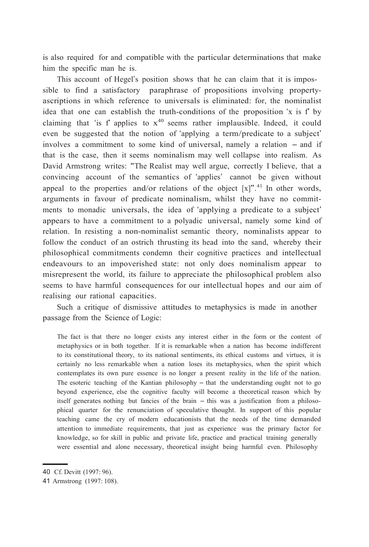is also required for and compatible with the particular determinations that make him the specific man he is.

This account of Hegel's position shows that he can claim that it is impossible to find a satisfactory paraphrase of propositions involving propertyascriptions in which reference to universals is eliminated: for, the nominalist idea that one can establish the truth-conditions of the proposition 'x is f' by claiming that 'is  $f'$  applies to  $x^{40}$  seems rather implausible. Indeed, it could even be suggested that the notion of 'applying a term/predicate to a subject' involves a commitment to some kind of universal, namely a relation – and if that is the case, then it seems nominalism may well collapse into realism. As David Armstrong writes: "The Realist may well argue, correctly I believe, that a convincing account of the semantics of 'applies' cannot be given without appeal to the properties and/or relations of the object  $[x]$ ".<sup>41</sup> In other words, arguments in favour of predicate nominalism, whilst they have no commitments to monadic universals, the idea of 'applying a predicate to a subject' appears to have a commitment to a polyadic universal, namely some kind of relation. In resisting a non-nominalist semantic theory, nominalists appear to follow the conduct of an ostrich thrusting its head into the sand, whereby their philosophical commitments condemn their cognitive practices and intellectual endeavours to an impoverished state: not only does nominalism appear to misrepresent the world, its failure to appreciate the philosophical problem also seems to have harmful consequences for our intellectual hopes and our aim of realising our rational capacities.

Such a critique of dismissive attitudes to metaphysics is made in another passage from the Science of Logic:

The fact is that there no longer exists any interest either in the form or the content of metaphysics or in both together. If it is remarkable when a nation has become indifferent to its constitutional theory, to its national sentiments, its ethical customs and virtues, it is certainly no less remarkable when a nation loses its metaphysics, when the spirit which contemplates its own pure essence is no longer a present reality in the life of the nation. The esoteric teaching of the Kantian philosophy – that the understanding ought not to go beyond experience, else the cognitive faculty will become a theoretical reason which by itself generates nothing but fancies of the brain – this was a justification from a philosophical quarter for the renunciation of speculative thought. In support of this popular teaching came the cry of modern educationists that the needs of the time demanded attention to immediate requirements, that just as experience was the primary factor for knowledge, so for skill in public and private life, practice and practical training generally were essential and alone necessary, theoretical insight being harmful even. Philosophy

<sup>40</sup> Cf. Devitt (1997: 96).

<sup>41</sup> Armstrong (1997: 108).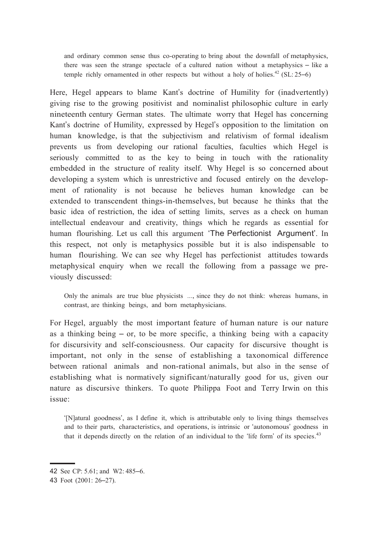and ordinary common sense thus co-operating to bring about the downfall of metaphysics, there was seen the strange spectacle of a cultured nation without a metaphysics – like a temple richly ornamented in other respects but without a holy of holies.<sup>42</sup> (SL: 25–6)

Here, Hegel appears to blame Kant's doctrine of Humility for (inadvertently) giving rise to the growing positivist and nominalist philosophic culture in early nineteenth century German states. The ultimate worry that Hegel has concerning Kant's doctrine of Humility, expressed by Hegel's opposition to the limitation on human knowledge, is that the subjectivism and relativism of formal idealism prevents us from developing our rational faculties, faculties which Hegel is seriously committed to as the key to being in touch with the rationality embedded in the structure of reality itself. Why Hegel is so concerned about developing a system which is unrestrictive and focused entirely on the development of rationality is not because he believes human knowledge can be extended to transcendent things-in-themselves, but because he thinks that the basic idea of restriction, the idea of setting limits, serves as a check on human intellectual endeavour and creativity, things which he regards as essential for human flourishing. Let us call this argument 'The Perfectionist Argument'. In this respect, not only is metaphysics possible but it is also indispensable to human flourishing. We can see why Hegel has perfectionist attitudes towards metaphysical enquiry when we recall the following from a passage we previously discussed:

Only the animals are true blue physicists …, since they do not think: whereas humans, in contrast, are thinking beings, and born metaphysicians.

For Hegel, arguably the most important feature of human nature is our nature as a thinking being – or, to be more specific, a thinking being with a capacity for discursivity and self-consciousness. Our capacity for discursive thought is important, not only in the sense of establishing a taxonomical difference between rational animals and non-rational animals, but also in the sense of establishing what is normatively significant/naturally good for us, given our nature as discursive thinkers. To quote Philippa Foot and Terry Irwin on this issue:

'[N]atural goodness', as I define it, which is attributable only to living things themselves and to their parts, characteristics, and operations, is intrinsic or 'autonomous' goodness in that it depends directly on the relation of an individual to the 'life form' of its species.<sup>43</sup>

<sup>42</sup> See CP: 5.61; and W2: 485–6.

<sup>43</sup> Foot (2001: 26–27).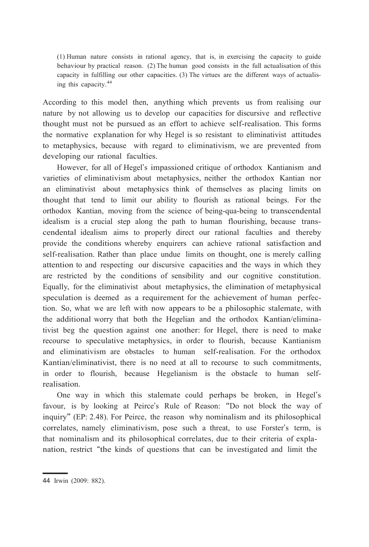(1) Human nature consists in rational agency, that is, in exercising the capacity to guide behaviour by practical reason. (2) The human good consists in the full actualisation of this capacity in fulfilling our other capacities. (3) The virtues are the different ways of actualising this capacity. 44

According to this model then, anything which prevents us from realising our nature by not allowing us to develop our capacities for discursive and reflective thought must not be pursued as an effort to achieve self-realisation. This forms the normative explanation for why Hegel is so resistant to eliminativist attitudes to metaphysics, because with regard to eliminativism, we are prevented from developing our rational faculties.

However, for all of Hegel's impassioned critique of orthodox Kantianism and varieties of eliminativism about metaphysics, neither the orthodox Kantian nor an eliminativist about metaphysics think of themselves as placing limits on thought that tend to limit our ability to flourish as rational beings. For the orthodox Kantian, moving from the science of being-qua-being to transcendental idealism is a crucial step along the path to human flourishing, because transcendental idealism aims to properly direct our rational faculties and thereby provide the conditions whereby enquirers can achieve rational satisfaction and self-realisation. Rather than place undue limits on thought, one is merely calling attention to and respecting our discursive capacities and the ways in which they are restricted by the conditions of sensibility and our cognitive constitution. Equally, for the eliminativist about metaphysics, the elimination of metaphysical speculation is deemed as a requirement for the achievement of human perfection. So, what we are left with now appears to be a philosophic stalemate, with the additional worry that both the Hegelian and the orthodox Kantian/eliminativist beg the question against one another: for Hegel, there is need to make recourse to speculative metaphysics, in order to flourish, because Kantianism and eliminativism are obstacles to human self-realisation. For the orthodox Kantian/eliminativist, there is no need at all to recourse to such commitments, in order to flourish, because Hegelianism is the obstacle to human selfrealisation.

One way in which this stalemate could perhaps be broken, in Hegel's favour, is by looking at Peirce's Rule of Reason: "Do not block the way of inquiry" (EP: 2.48). For Peirce, the reason why nominalism and its philosophical correlates, namely eliminativism, pose such a threat, to use Forster's term, is that nominalism and its philosophical correlates, due to their criteria of explanation, restrict "the kinds of questions that can be investigated and limit the

<sup>44</sup> Irwin (2009: 882).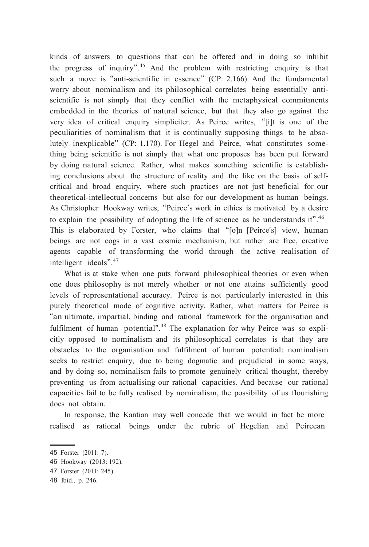kinds of answers to questions that can be offered and in doing so inhibit the progress of inquiry".<sup>45</sup> And the problem with restricting enquiry is that such a move is "anti-scientific in essence" (CP: 2.166). And the fundamental worry about nominalism and its philosophical correlates being essentially antiscientific is not simply that they conflict with the metaphysical commitments embedded in the theories of natural science, but that they also go against the very idea of critical enquiry simpliciter. As Peirce writes, "[i]t is one of the peculiarities of nominalism that it is continually supposing things to be absolutely inexplicable" (CP: 1.170). For Hegel and Peirce, what constitutes something being scientific is not simply that what one proposes has been put forward by doing natural science. Rather, what makes something scientific is establishing conclusions about the structure of reality and the like on the basis of selfcritical and broad enquiry, where such practices are not just beneficial for our theoretical-intellectual concerns but also for our development as human beings. As Christopher Hookway writes, "Peirce's work in ethics is motivated by a desire to explain the possibility of adopting the life of science as he understands it".<sup>46</sup> This is elaborated by Forster, who claims that "[o]n [Peirce's] view, human beings are not cogs in a vast cosmic mechanism, but rather are free, creative agents capable of transforming the world through the active realisation of intelligent ideals". 47

What is at stake when one puts forward philosophical theories or even when one does philosophy is not merely whether or not one attains sufficiently good levels of representational accuracy. Peirce is not particularly interested in this purely theoretical mode of cognitive activity. Rather, what matters for Peirce is "an ultimate, impartial, binding and rational framework for the organisation and fulfilment of human potential".<sup>48</sup> The explanation for why Peirce was so explicitly opposed to nominalism and its philosophical correlates is that they are obstacles to the organisation and fulfilment of human potential: nominalism seeks to restrict enquiry, due to being dogmatic and prejudicial in some ways, and by doing so, nominalism fails to promote genuinely critical thought, thereby preventing us from actualising our rational capacities. And because our rational capacities fail to be fully realised by nominalism, the possibility of us flourishing does not obtain.

In response, the Kantian may well concede that we would in fact be more realised as rational beings under the rubric of Hegelian and Peircean

<sup>45</sup> Forster (2011: 7).

<sup>46</sup> Hookway (2013: 192).

<sup>47</sup> Forster (2011: 245).

<sup>48</sup> Ibid., p. 246.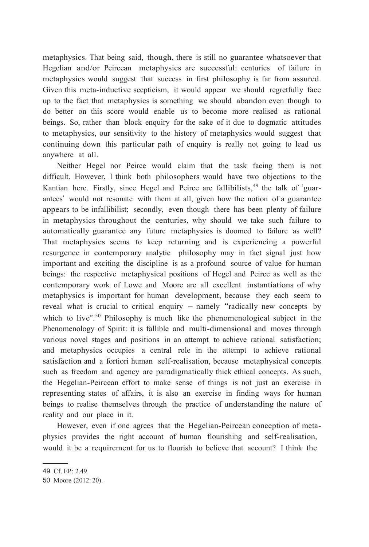metaphysics. That being said, though, there is still no guarantee whatsoever that Hegelian and/or Peircean metaphysics are successful: centuries of failure in metaphysics would suggest that success in first philosophy is far from assured. Given this meta-inductive scepticism, it would appear we should regretfully face up to the fact that metaphysics is something we should abandon even though to do better on this score would enable us to become more realised as rational beings. So, rather than block enquiry for the sake of it due to dogmatic attitudes to metaphysics, our sensitivity to the history of metaphysics would suggest that continuing down this particular path of enquiry is really not going to lead us anywhere at all.

Neither Hegel nor Peirce would claim that the task facing them is not difficult. However, I think both philosophers would have two objections to the Kantian here. Firstly, since Hegel and Peirce are fallibilists,  $49$  the talk of 'guarantees' would not resonate with them at all, given how the notion of a guarantee appears to be infallibilist; secondly, even though there has been plenty of failure in metaphysics throughout the centuries, why should we take such failure to automatically guarantee any future metaphysics is doomed to failure as well? That metaphysics seems to keep returning and is experiencing a powerful resurgence in contemporary analytic philosophy may in fact signal just how important and exciting the discipline is as a profound source of value for human beings: the respective metaphysical positions of Hegel and Peirce as well as the contemporary work of Lowe and Moore are all excellent instantiations of why metaphysics is important for human development, because they each seem to reveal what is crucial to critical enquiry – namely "radically new concepts by which to live".<sup>50</sup> Philosophy is much like the phenomenological subject in the Phenomenology of Spirit: it is fallible and multi-dimensional and moves through various novel stages and positions in an attempt to achieve rational satisfaction; and metaphysics occupies a central role in the attempt to achieve rational satisfaction and a fortiori human self-realisation, because metaphysical concepts such as freedom and agency are paradigmatically thick ethical concepts. As such, the Hegelian-Peircean effort to make sense of things is not just an exercise in representing states of affairs, it is also an exercise in finding ways for human beings to realise themselves through the practice of understanding the nature of reality and our place in it.

However, even if one agrees that the Hegelian-Peircean conception of metaphysics provides the right account of human flourishing and self-realisation, would it be a requirement for us to flourish to believe that account? I think the

<sup>49</sup> Cf. EP: 2.49.

<sup>50</sup> Moore (2012: 20).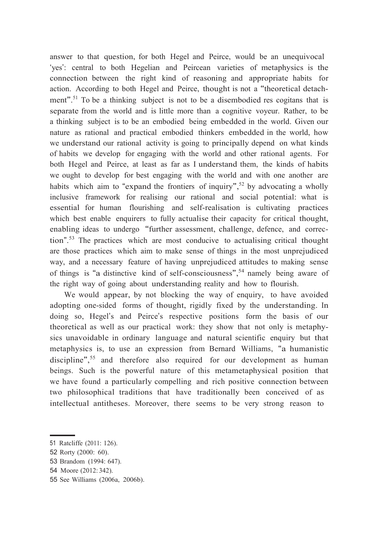answer to that question, for both Hegel and Peirce, would be an unequivocal 'yes': central to both Hegelian and Peircean varieties of metaphysics is the connection between the right kind of reasoning and appropriate habits for action. According to both Hegel and Peirce, thought is not a "theoretical detachment".<sup>51</sup> To be a thinking subject is not to be a disembodied res cogitans that is separate from the world and is little more than a cognitive voyeur. Rather, to be a thinking subject is to be an embodied being embedded in the world. Given our nature as rational and practical embodied thinkers embedded in the world, how we understand our rational activity is going to principally depend on what kinds of habits we develop for engaging with the world and other rational agents. For both Hegel and Peirce, at least as far as I understand them, the kinds of habits we ought to develop for best engaging with the world and with one another are habits which aim to "expand the frontiers of inquiry",<sup>52</sup> by advocating a wholly inclusive framework for realising our rational and social potential: what is essential for human flourishing and self-realisation is cultivating practices which best enable enquirers to fully actualise their capacity for critical thought, enabling ideas to undergo "further assessment, challenge, defence, and correction".<sup>53</sup> The practices which are most conducive to actualising critical thought are those practices which aim to make sense of things in the most unprejudiced way, and a necessary feature of having unprejudiced attitudes to making sense of things is "a distinctive kind of self-consciousness", <sup>54</sup> namely being aware of the right way of going about understanding reality and how to flourish.

We would appear, by not blocking the way of enquiry, to have avoided adopting one-sided forms of thought, rigidly fixed by the understanding. In doing so, Hegel's and Peirce's respective positions form the basis of our theoretical as well as our practical work: they show that not only is metaphysics unavoidable in ordinary language and natural scientific enquiry but that metaphysics is, to use an expression from Bernard Williams, "a humanistic discipline",<sup>55</sup> and therefore also required for our development as human beings. Such is the powerful nature of this metametaphysical position that we have found a particularly compelling and rich positive connection between two philosophical traditions that have traditionally been conceived of as intellectual antitheses. Moreover, there seems to be very strong reason to

<sup>51</sup> Ratcliffe (2011: 126).

<sup>52</sup> Rorty (2000: 60).

<sup>53</sup> Brandom (1994: 647).

<sup>54</sup> Moore (2012: 342).

<sup>55</sup> See Williams (2006a, 2006b).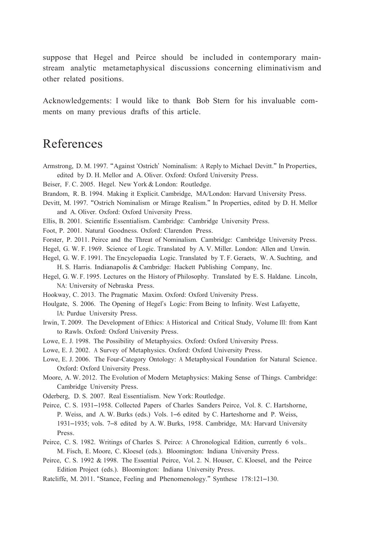suppose that Hegel and Peirce should be included in contemporary mainstream analytic metametaphysical discussions concerning eliminativism and other related positions.

Acknowledgements: I would like to thank Bob Stern for his invaluable comments on many previous drafts of this article.

## References

- Armstrong, D. M. 1997. "Against 'Ostrich' Nominalism: <sup>A</sup> Reply to Michael Devitt." In Properties, edited by D. H. Mellor and A. Oliver. Oxford: Oxford University Press.
- Beiser, F. C. 2005. Hegel. New York & London: Routledge.
- Brandom, R. B. 1994. Making it Explicit. Cambridge, MA/London: Harvard University Press.
- Devitt, M. 1997. "Ostrich Nominalism or Mirage Realism." In Properties, edited by D. H. Mellor and A. Oliver. Oxford: Oxford University Press.
- Ellis, B. 2001. Scientific Essentialism. Cambridge: Cambridge University Press.
- Foot, P. 2001. Natural Goodness. Oxford: Clarendon Press.
- Forster, P. 2011. Peirce and the Threat of Nominalism. Cambridge: Cambridge University Press.
- Hegel, G. W. F. 1969. Science of Logic. Translated by A. V. Miller. London: Allen and Unwin.
- Hegel, G. W. F. 1991. The Encyclopaedia Logic. Translated by T. F. Geraets, W. A. Suchting, and H. S. Harris. Indianapolis & Cambridge: Hackett Publishing Company, Inc.
- Hegel, G. W. F. 1995. Lectures on the History of Philosophy. Translated by E. S. Haldane. Lincoln, NA: University of Nebraska Press.
- Hookway, C. 2013. The Pragmatic Maxim. Oxford: Oxford University Press.
- Houlgate, S. 2006. The Opening of Hegel's Logic: From Being to Infinity. West Lafayette, IA: Purdue University Press.
- Irwin, T. 2009. The Development of Ethics: A Historical and Critical Study, Volume III: from Kant to Rawls. Oxford: Oxford University Press.
- Lowe, E. J. 1998. The Possibility of Metaphysics. Oxford: Oxford University Press.
- Lowe, E. J. 2002. A Survey of Metaphysics. Oxford: Oxford University Press.
- Lowe, E. J. 2006. The Four-Category Ontology: <sup>A</sup> Metaphysical Foundation for Natural Science. Oxford: Oxford University Press.
- Moore, A. W. 2012. The Evolution of Modern Metaphysics: Making Sense of Things. Cambridge: Cambridge University Press.
- Oderberg, D. S. 2007. Real Essentialism. New York: Routledge.
- Peirce, C. S. 1931–1958. Collected Papers of Charles Sanders Peirce, Vol. 8. C. Hartshorne, P. Weiss, and A. W. Burks (eds.) Vols. 1–6 edited by C. Harteshorne and P. Weiss, 1931–1935; vols. 7–8 edited by A. W. Burks, 1958. Cambridge, MA: Harvard University Press.
- Peirce, C. S. 1982. Writings of Charles S. Peirce: A Chronological Edition, currently 6 vols.. M. Fisch, E. Moore, C. Kloesel (eds.). Bloomington: Indiana University Press.
- Peirce, C. S. 1992 & 1998. The Essential Peirce, Vol. 2. N. Houser, C. Kloesel, and the Peirce Edition Project (eds.). Bloomington: Indiana University Press.
- Ratcliffe, M. 2011. "Stance, Feeling and Phenomenology." Synthese 178:121–130.